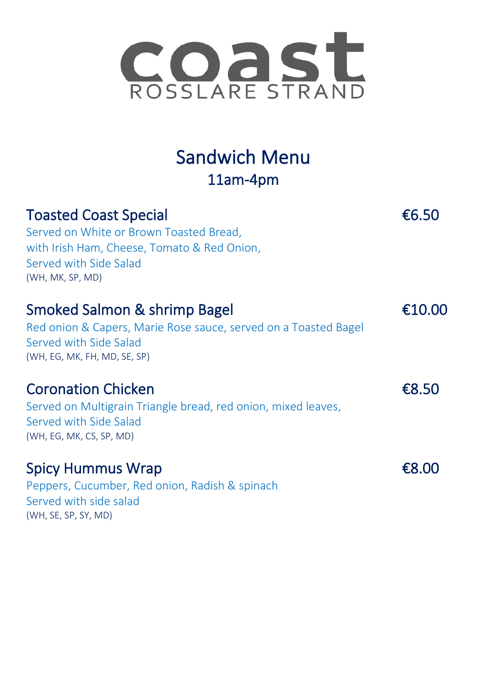

## Sandwich Menu 11am-4pm

| <b>Toasted Coast Special</b><br>Served on White or Brown Toasted Bread,<br>with Irish Ham, Cheese, Tomato & Red Onion,<br>Served with Side Salad<br>(WH, MK, SP, MD) | €6.50  |
|----------------------------------------------------------------------------------------------------------------------------------------------------------------------|--------|
| Smoked Salmon & shrimp Bagel<br>Red onion & Capers, Marie Rose sauce, served on a Toasted Bagel<br>Served with Side Salad<br>(WH, EG, MK, FH, MD, SE, SP)            | €10.00 |
| <b>Coronation Chicken</b><br>Served on Multigrain Triangle bread, red onion, mixed leaves,<br>Served with Side Salad<br>(WH, EG, MK, CS, SP, MD)                     | €8.50  |
| <b>Spicy Hummus Wrap</b><br>Peppers, Cucumber, Red onion, Radish & spinach<br>Served with side salad<br>(WH, SE, SP, SY, MD)                                         | €8.00  |